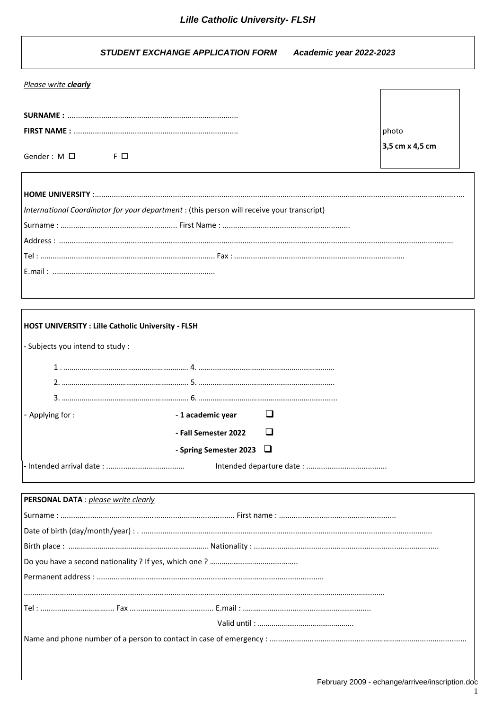#### **STUDENT EXCHANGE APPLICATION FORM** Academic year 2022-2023

|  | Please write clearly |
|--|----------------------|
|  |                      |

Gender:  $M \Box$ 

 $F$  $D$ 

photo 3,5 cm x 4,5 cm

| International Coordinator for your department : (this person will receive your transcript) |  |
|--------------------------------------------------------------------------------------------|--|
|                                                                                            |  |
|                                                                                            |  |
|                                                                                            |  |
|                                                                                            |  |
|                                                                                            |  |

| <b>HOST UNIVERSITY : Lille Catholic University - FLSH</b> |                               |  |
|-----------------------------------------------------------|-------------------------------|--|
| - Subjects you intend to study :                          |                               |  |
|                                                           |                               |  |
|                                                           |                               |  |
|                                                           |                               |  |
| , ving tor                                                | -1 academic year              |  |
|                                                           | - Fall Semester 2022          |  |
|                                                           | - Spring Semester 2023 $\Box$ |  |
|                                                           |                               |  |

| <b>PERSONAL DATA</b> : please write clearly |  |
|---------------------------------------------|--|
|                                             |  |
|                                             |  |
|                                             |  |
|                                             |  |
|                                             |  |
|                                             |  |
|                                             |  |
|                                             |  |
|                                             |  |
|                                             |  |